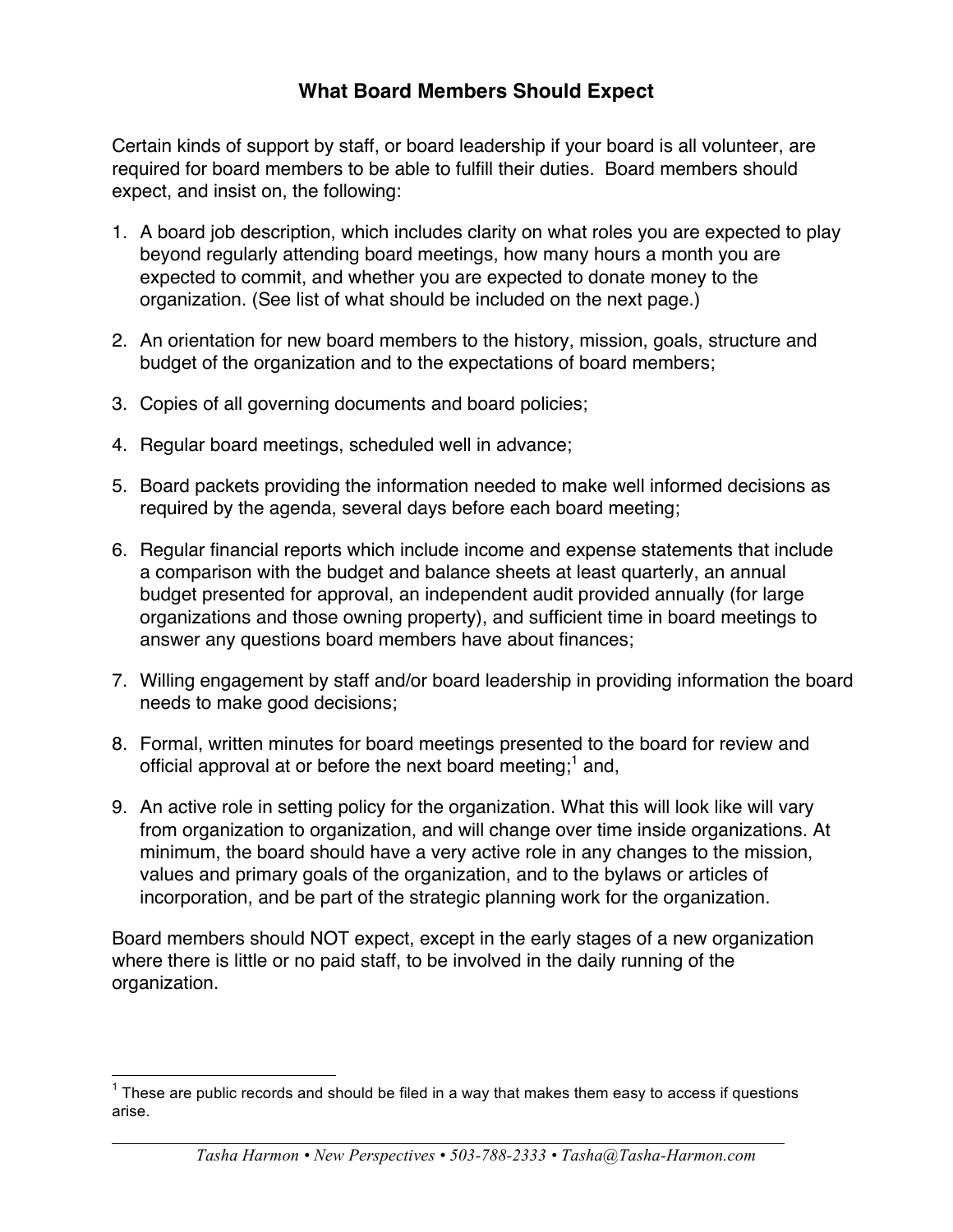# **What Board Members Should Expect**

Certain kinds of support by staff, or board leadership if your board is all volunteer, are required for board members to be able to fulfill their duties. Board members should expect, and insist on, the following:

- 1. A board job description, which includes clarity on what roles you are expected to play beyond regularly attending board meetings, how many hours a month you are expected to commit, and whether you are expected to donate money to the organization. (See list of what should be included on the next page.)
- 2. An orientation for new board members to the history, mission, goals, structure and budget of the organization and to the expectations of board members;
- 3. Copies of all governing documents and board policies;
- 4. Regular board meetings, scheduled well in advance;
- 5. Board packets providing the information needed to make well informed decisions as required by the agenda, several days before each board meeting;
- 6. Regular financial reports which include income and expense statements that include a comparison with the budget and balance sheets at least quarterly, an annual budget presented for approval, an independent audit provided annually (for large organizations and those owning property), and sufficient time in board meetings to answer any questions board members have about finances;
- 7. Willing engagement by staff and/or board leadership in providing information the board needs to make good decisions;
- 8. Formal, written minutes for board meetings presented to the board for review and official approval at or before the next board meeting;<sup>1</sup> and,
- 9. An active role in setting policy for the organization. What this will look like will vary from organization to organization, and will change over time inside organizations. At minimum, the board should have a very active role in any changes to the mission, values and primary goals of the organization, and to the bylaws or articles of incorporation, and be part of the strategic planning work for the organization.

Board members should NOT expect, except in the early stages of a new organization where there is little or no paid staff, to be involved in the daily running of the organization.

 $1$  These are public records and should be filed in a way that makes them easy to access if questions arise.